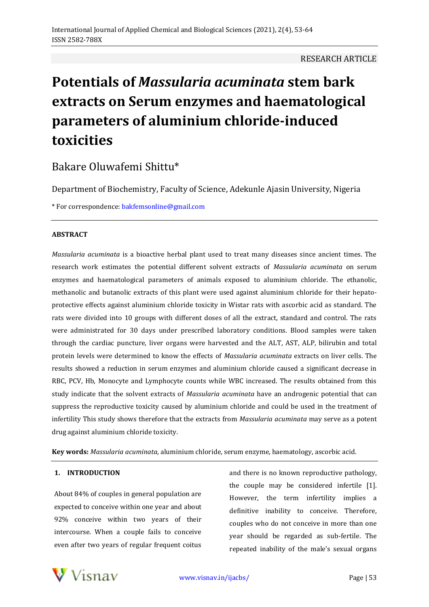## RESEARCH ARTICLE

# **Potentials of** *Massularia acuminata* **stem bark extracts on Serum enzymes and haematological parameters of aluminium chloride-induced toxicities**

Bakare Oluwafemi Shittu\*

Department of Biochemistry, Faculty of Science, Adekunle Ajasin University, Nigeria

\* For correspondence: [bakfemsonline@gmail.com](mailto:bakfemsonline@gmail.com)

## **ABSTRACT**

*Massularia acuminata* is a bioactive herbal plant used to treat many diseases since ancient times. The research work estimates the potential different solvent extracts of *Massularia acuminata* on serum enzymes and haematological parameters of animals exposed to aluminium chloride. The ethanolic, methanolic and butanolic extracts of this plant were used against aluminium chloride for their hepatoprotective effects against aluminium chloride toxicity in Wistar rats with ascorbic acid as standard. The rats were divided into 10 groups with different doses of all the extract, standard and control. The rats were administrated for 30 days under prescribed laboratory conditions. Blood samples were taken through the cardiac puncture, liver organs were harvested and the ALT, AST, ALP, bilirubin and total protein levels were determined to know the effects of *Massularia acuminata* extracts on liver cells. The results showed a reduction in serum enzymes and aluminium chloride caused a significant decrease in RBC, PCV, Hb, Monocyte and Lymphocyte counts while WBC increased. The results obtained from this study indicate that the solvent extracts of *Massularia acuminata* have an androgenic potential that can suppress the reproductive toxicity caused by aluminium chloride and could be used in the treatment of infertility This study shows therefore that the extracts from *Massularia acuminata* may serve as a potent drug against aluminium chloride toxicity*.*

**Key words:** *Massularia acuminata*, aluminium chloride, serum enzyme, haematology, ascorbic acid.

## **1. INTRODUCTION**

About 84% of couples in general population are expected to conceive within one year and about 92% conceive within two years of their intercourse. When a couple fails to conceive even after two years of regular frequent coitus

and there is no known reproductive pathology, the couple may be considered infertile [1]. However, the term infertility implies a definitive inability to conceive. Therefore, couples who do not conceive in more than one year should be regarded as sub-fertile. The repeated inability of the male's sexual organs

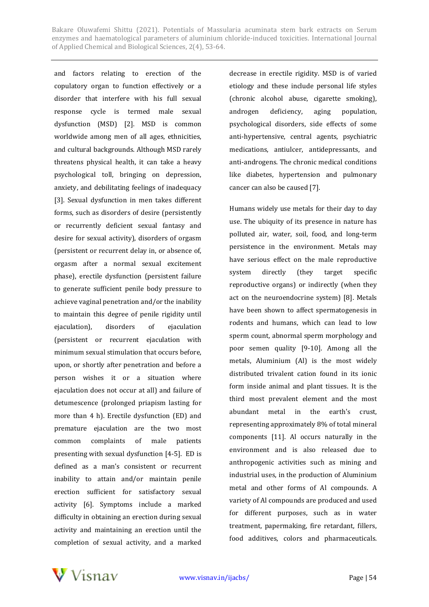and factors relating to erection of the copulatory organ to function effectively or a disorder that interfere with his full sexual response cycle is termed male sexual dysfunction (MSD) [2]. MSD is common worldwide among men of all ages, ethnicities, and cultural backgrounds. Although MSD rarely threatens physical health, it can take a heavy psychological toll, bringing on depression, anxiety, and debilitating feelings of inadequacy [3]. Sexual dysfunction in men takes different forms, such as disorders of desire (persistently or recurrently deficient sexual fantasy and desire for sexual activity), disorders of orgasm (persistent or recurrent delay in, or absence of, orgasm after a normal sexual excitement phase), erectile dysfunction (persistent failure to generate sufficient penile body pressure to achieve vaginal penetration and/or the inability to maintain this degree of penile rigidity until ejaculation), disorders of ejaculation (persistent or recurrent ejaculation with minimum sexual stimulation that occurs before, upon, or shortly after penetration and before a person wishes it or a situation where ejaculation does not occur at all) and failure of detumescence (prolonged priapism lasting for more than 4 h). Erectile dysfunction (ED) and premature ejaculation are the two most common complaints of male patients presenting with sexual dysfunction [4-5]. ED is defined as a man's consistent or recurrent inability to attain and/or maintain penile erection sufficient for satisfactory sexual activity [6]. Symptoms include a marked difficulty in obtaining an erection during sexual activity and maintaining an erection until the completion of sexual activity, and a marked decrease in erectile rigidity. MSD is of varied etiology and these include personal life styles (chronic alcohol abuse, cigarette smoking), androgen deficiency, aging population, psychological disorders, side effects of some anti-hypertensive, central agents, psychiatric medications, antiulcer, antidepressants, and anti-androgens. The chronic medical conditions like diabetes, hypertension and pulmonary cancer can also be caused [7].

Humans widely use metals for their day to day use. The ubiquity of its presence in nature has polluted air, water, soil, food, and long-term persistence in the environment. Metals may have serious effect on the male reproductive system directly (they target specific reproductive organs) or indirectly (when they act on the neuroendocrine system) [8]. Metals have been shown to affect spermatogenesis in rodents and humans, which can lead to low sperm count, abnormal sperm morphology and poor semen quality [9-10]. Among all the metals, Aluminium (Al) is the most widely distributed trivalent cation found in its ionic form inside animal and plant tissues. It is the third most prevalent element and the most abundant metal in the earth's crust, representing approximately 8% of total mineral components [11]. Al occurs naturally in the environment and is also released due to anthropogenic activities such as mining and industrial uses, in the production of Aluminium metal and other forms of Al compounds. A variety of Al compounds are produced and used for different purposes, such as in water treatment, papermaking, fire retardant, fillers, food additives, colors and pharmaceuticals.

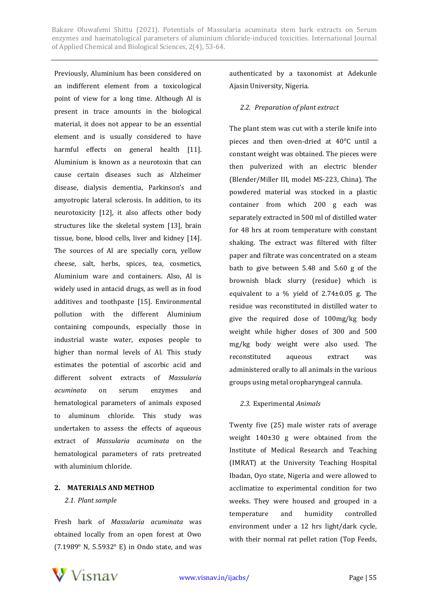Previously, Aluminium has been considered on an indifferent element from a toxicological point of view for a long time. Although Al is present in trace amounts in the biological material, it does not appear to be an essential element and is usually considered to have harmful effects on general health [11]. Aluminium is known as a neurotoxin that can cause certain diseases such as Alzheimer disease, dialysis dementia, Parkinson's and amyotropic lateral sclerosis. In addition, to its neurotoxicity [12], it also affects other body structures like the skeletal system [13], brain tissue, bone, blood cells, liver and kidney [14]. The sources of Al are specially corn, yellow cheese, salt, herbs, spices, tea, cosmetics, Aluminium ware and containers. Also, Al is widely used in antacid drugs, as well as in food additives and toothpaste [15]. Environmental pollution with the different Aluminium containing compounds, especially those in industrial waste water, exposes people to higher than normal levels of Al. This study estimates the potential of ascorbic acid and different solvent extracts of *Massularia acuminata* on serum enzymes and hematological parameters of animals exposed to aluminum chloride. This study was undertaken to assess the effects of aqueous extract of *Massularia acuminata* on the hematological parameters of rats pretreated with aluminium chloride.

## **2. MATERIALS AND METHOD**

## *2.1. Plant sample*

Fresh bark of *Massularia acuminata* was obtained locally from an open forest at Owo (7.1989° N, 5.5932° E) in Ondo state, and was authenticated by a taxonomist at Adekunle Ajasin University, Nigeria.

#### *2.2. Preparation of plant extract*

The plant stem was cut with a sterile knife into pieces and then oven-dried at 40°C until a constant weight was obtained. The pieces were then pulverized with an electric blender (Blender/Miller III, model MS-223, China). The powdered material was stocked in a plastic container from which 200 g each was separately extracted in 500 ml of distilled water for 48 hrs at room temperature with constant shaking. The extract was filtered with filter paper and filtrate was concentrated on a steam bath to give between 5.48 and 5.60 g of the brownish black slurry (residue) which is equivalent to a % yield of  $2.74\pm0.05$  g. The residue was reconstituted in distilled water to give the required dose of 100mg/kg body weight while higher doses of 300 and 500 mg/kg body weight were also used. The reconstituted aqueous extract was administered orally to all animals in the various groups using metal oropharyngeal cannula.

## *2.3.* Experimental *Animals*

Twenty five (25) male wister rats of average weight 140±30 g were obtained from the Institute of Medical Research and Teaching (IMRAT) at the University Teaching Hospital Ibadan, Oyo state, Nigeria and were allowed to acclimatize to experimental condition for two weeks. They were housed and grouped in a temperature and humidity controlled environment under a 12 hrs light/dark cycle, with their normal rat pellet ration (Top Feeds,

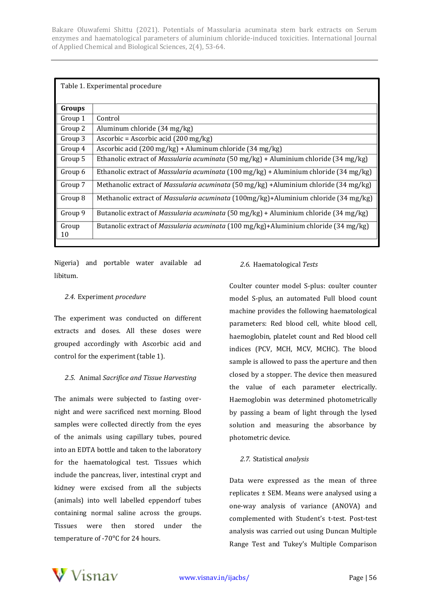| Table 1. Experimental procedure |                                                                                              |  |  |  |  |
|---------------------------------|----------------------------------------------------------------------------------------------|--|--|--|--|
| Groups                          |                                                                                              |  |  |  |  |
| Group 1                         | Control                                                                                      |  |  |  |  |
| Group 2                         | Aluminum chloride (34 mg/kg)                                                                 |  |  |  |  |
| Group 3                         | Ascorbic = Ascorbic acid $(200 \text{ mg/kg})$                                               |  |  |  |  |
| Group 4                         | Ascorbic acid (200 mg/kg) + Aluminum chloride (34 mg/kg)                                     |  |  |  |  |
| Group 5                         | Ethanolic extract of Massularia acuminata (50 mg/kg) + Aluminium chloride (34 mg/kg)         |  |  |  |  |
| Group 6                         | Ethanolic extract of <i>Massularia acuminata</i> (100 mg/kg) + Aluminium chloride (34 mg/kg) |  |  |  |  |
| Group 7                         | Methanolic extract of <i>Massularia acuminata</i> (50 mg/kg) +Aluminium chloride (34 mg/kg)  |  |  |  |  |
| Group 8                         | Methanolic extract of Massularia acuminata (100mg/kg)+Aluminium chloride (34 mg/kg)          |  |  |  |  |
| Group 9                         | Butanolic extract of <i>Massularia acuminata</i> (50 mg/kg) + Aluminium chloride (34 mg/kg)  |  |  |  |  |
| Group<br>10                     | Butanolic extract of Massularia acuminata (100 mg/kg)+Aluminium chloride (34 mg/kg)          |  |  |  |  |

Nigeria) and portable water available ad libitum.

## *2.4.* Experiment *procedure*

The experiment was conducted on different extracts and doses. All these doses were grouped accordingly with Ascorbic acid and control for the experiment (table 1).

## *2.5.* Animal *Sacrifice and Tissue Harvesting*

The animals were subjected to fasting overnight and were sacrificed next morning. Blood samples were collected directly from the eyes of the animals using capillary tubes, poured into an EDTA bottle and taken to the laboratory for the haematological test. Tissues which include the pancreas, liver, intestinal crypt and kidney were excised from all the subjects (animals) into well labelled eppendorf tubes containing normal saline across the groups. Tissues were then stored under the temperature of -70°C for 24 hours.

## *2.6.* Haematological *Tests*

Coulter counter model S-plus: coulter counter model S-plus, an automated Full blood count machine provides the following haematological parameters: Red blood cell, white blood cell, haemoglobin, platelet count and Red blood cell indices (PCV, MCH, MCV, MCHC). The blood sample is allowed to pass the aperture and then closed by a stopper. The device then measured the value of each parameter electrically. Haemoglobin was determined photometrically by passing a beam of light through the lysed solution and measuring the absorbance by photometric device.

## *2.7.* Statistical *analysis*

Data were expressed as the mean of three replicates ± SEM. Means were analysed using a one-way analysis of variance (ANOVA) and complemented with Student's t-test. Post-test analysis was carried out using Duncan Multiple Range Test and Tukey's Multiple Comparison

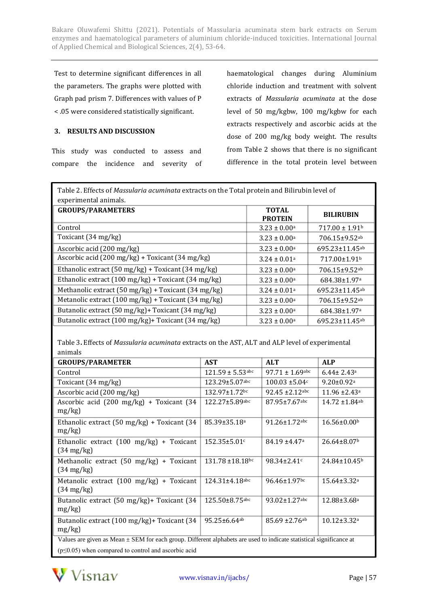Test to determine significant differences in all the parameters. The graphs were plotted with Graph pad prism 7. Differences with values of P < .05 were considered statistically significant.

## **3. RESULTS AND DISCUSSION**

This study was conducted to assess and compare the incidence and severity of haematological changes during Aluminium chloride induction and treatment with solvent extracts of *Massularia acuminata* at the dose level of 50 mg/kgbw, 100 mg/kgbw for each extracts respectively and ascorbic acids at the dose of 200 mg/kg body weight. The results from Table 2 shows that there is no significant difference in the total protein level between

Table 2. Effects of *Massularia acuminata* extracts on the Total protein and Bilirubin level of experimental animals.

| <b>GROUPS/PARAMETERS</b>                            | <b>TOTAL</b><br><b>PROTEIN</b> | <b>BILIRUBIN</b>               |
|-----------------------------------------------------|--------------------------------|--------------------------------|
| Control                                             | $3.23 \pm 0.00^{\text{a}}$     | $717.00 \pm 1.91$ <sup>b</sup> |
| Toxicant (34 mg/kg)                                 | $3.23 \pm 0.00^a$              | 706.15±9.52ab                  |
| Ascorbic acid (200 mg/kg)                           | $3.23 \pm 0.00^{\text{a}}$     | $695.23 \pm 11.45$ ab          |
| Ascorbic acid (200 mg/kg) + Toxicant (34 mg/kg)     | $3.24 \pm 0.01$ <sup>a</sup>   | 717.00±1.91 <sup>b</sup>       |
| Ethanolic extract (50 mg/kg) + Toxicant (34 mg/kg)  | $3.23 \pm 0.00^a$              | 706.15±9.52ab                  |
| Ethanolic extract (100 mg/kg) + Toxicant (34 mg/kg) | $3.23 \pm 0.00^a$              | 684.38±1.97 <sup>a</sup>       |
| Methanolic extract (50 mg/kg) + Toxicant (34 mg/kg) | $3.24 \pm 0.01$ <sup>a</sup>   | 695.23±11.45ab                 |
| Metanolic extract (100 mg/kg) + Toxicant (34 mg/kg) | $3.23 \pm 0.00^a$              | 706.15±9.52ab                  |
| Butanolic extract (50 mg/kg)+ Toxicant (34 mg/kg)   | $3.23 \pm 0.00^a$              | 684.38±1.97 <sup>a</sup>       |
| Butanolic extract (100 mg/kg) + Toxicant (34 mg/kg) | $3.23 \pm 0.00^{\text{a}}$     | 695.23±11.45ab                 |

Table 3**.** Effects of *Massularia acuminata* extracts on the AST, ALT and ALP level of experimental animals

| <b>GROUPS/PARAMETER</b>                                                                                                 | <b>AST</b>                     | <b>ALT</b>                     | <b>ALP</b>                     |  |  |  |
|-------------------------------------------------------------------------------------------------------------------------|--------------------------------|--------------------------------|--------------------------------|--|--|--|
| Control                                                                                                                 | $121.59 \pm 5.53$ abc          | $97.71 \pm 1.69$ abc           | $6.44 \pm 2.43$ <sup>a</sup>   |  |  |  |
| Toxicant $(34 \text{ mg/kg})$                                                                                           | $123.29 \pm 5.07$ abc          | $100.03 \pm 5.04c$             | $9.20 \pm 0.92$ <sup>a</sup>   |  |  |  |
| Ascorbic acid (200 mg/kg)                                                                                               | 132.97±1.72bc                  | $92.45 \pm 2.12$ abc           | $11.96 \pm 2.43$ <sup>a</sup>  |  |  |  |
| Ascorbic acid $(200 \text{ mg/kg})$ + Toxicant $(34$<br>$mg/kg$ )                                                       | 122.27±5.89abc                 | $87.95 \pm 7.67$ abc           | $14.72 \pm 1.84$ <sup>ab</sup> |  |  |  |
| Ethanolic extract $(50 \text{ mg/kg})$ + Toxicant $(34 \text{ m})$<br>$mg/kg$ )                                         | 85.39±35.18 <sup>a</sup>       | $91.26 \pm 1.72$ abc           | $16.56 \pm 0.00^{\rm b}$       |  |  |  |
| Ethanolic extract $(100 \text{ mg/kg})$ + Toxicant<br>$(34 \text{ mg/kg})$                                              | 152.35±5.01c                   | $84.19 \pm 4.47$ <sup>a</sup>  | $26.64 \pm 8.07$ <sup>b</sup>  |  |  |  |
| Methanolic extract $(50 \text{ mg/kg})$ + Toxicant<br>$(34 \text{ mg/kg})$                                              | 131.78 ±18.18bc                | $98.34 \pm 2.41$               | $24.84 \pm 10.45^b$            |  |  |  |
| Metanolic extract $(100 \text{ mg/kg})$ + Toxicant<br>$(34 \text{ mg/kg})$                                              | $124.31 \pm 4.18$ abc          | $96.46 \pm 1.97$ bc            | $15.64 \pm 3.32$ <sup>a</sup>  |  |  |  |
| Butanolic extract (50 mg/kg)+ Toxicant (34<br>$mg/kg$ )                                                                 | $125.50 \pm 8.75$ abc          | $93.02 \pm 1.27$ abc           | $12.88 \pm 3.68$ <sup>a</sup>  |  |  |  |
| Butanolic extract (100 mg/kg) + Toxicant (34<br>$mg/kg$ )                                                               | $95.25 \pm 6.64$ <sup>ab</sup> | $85.69 \pm 2.76$ <sup>ab</sup> | $10.12 \pm 3.32$ <sup>a</sup>  |  |  |  |
| Values are given as Mean $\pm$ SEM for each group. Different alphabets are used to indicate statistical significance at |                                |                                |                                |  |  |  |
| $(p \le 0.05)$ when compared to control and ascorbic acid                                                               |                                |                                |                                |  |  |  |

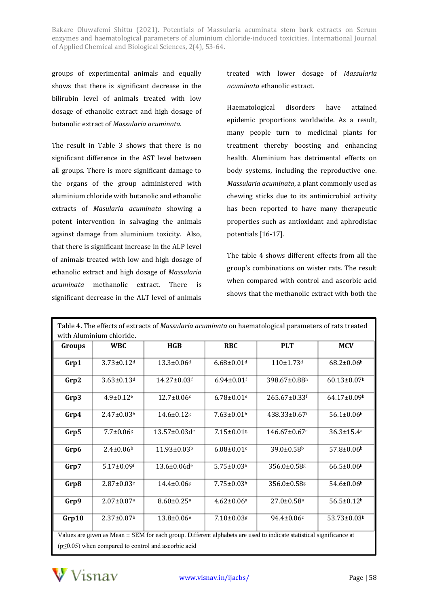groups of experimental animals and equally shows that there is significant decrease in the bilirubin level of animals treated with low dosage of ethanolic extract and high dosage of butanolic extract of *Massularia acuminata*.

The result in Table 3 shows that there is no significant difference in the AST level between all groups. There is more significant damage to the organs of the group administered with aluminium chloride with butanolic and ethanolic extracts of *Masularia acuminata* showing a potent intervention in salvaging the animals against damage from aluminium toxicity. Also, that there is significant increase in the ALP level of animals treated with low and high dosage of ethanolic extract and high dosage of *Massularia acuminata* methanolic extract. There is significant decrease in the ALT level of animals

treated with lower dosage of *Massularia acuminata* ethanolic extract.

Haematological disorders have attained epidemic proportions worldwide. As a result, many people turn to medicinal plants for treatment thereby boosting and enhancing health. Aluminium has detrimental effects on body systems, including the reproductive one. *Massularia acuminata*, a plant commonly used as chewing sticks due to its antimicrobial activity has been reported to have many therapeutic properties such as antioxidant and aphrodisiac potentials [16-17].

The table 4 shows different effects from all the group's combinations on wister rats. The result when compared with control and ascorbic acid shows that the methanolic extract with both the

| Table 4. The effects of extracts of Massularia acuminata on haematological parameters of rats treated                   |                              |                                |                              |                              |                               |  |  |  |  |
|-------------------------------------------------------------------------------------------------------------------------|------------------------------|--------------------------------|------------------------------|------------------------------|-------------------------------|--|--|--|--|
| with Aluminium chloride.                                                                                                |                              |                                |                              |                              |                               |  |  |  |  |
| Groups                                                                                                                  | <b>WBC</b>                   | <b>HGB</b>                     | <b>RBC</b>                   | <b>PLT</b>                   | <b>MCV</b>                    |  |  |  |  |
| Grp1                                                                                                                    | $3.73 \pm 0.12$ d            | 13.3±0.06 <sup>d</sup>         | $6.68 \pm 0.01$ d            | 110±1.73d                    | 68.2±0.06 <sup>b</sup>        |  |  |  |  |
| Grp2                                                                                                                    | $3.63 \pm 0.13$ d            | 14.27±0.03f                    | $6.94 \pm 0.01$ <sup>f</sup> | 398.67±0.88h                 | $60.13 \pm 0.07$ <sup>b</sup> |  |  |  |  |
| Grp3                                                                                                                    | $4.9 \pm 0.12$ <sup>e</sup>  | 12.7±0.06c                     | $6.78 \pm 0.01$ e            | 265.67±0.33f                 | 64.17±0.09b                   |  |  |  |  |
| Grp4                                                                                                                    | $2.47 \pm 0.03^b$            | 14.6±0.12g                     | $7.63 \pm 0.01$ h            | 438.33±0.67i                 | $56.1 \pm 0.06$               |  |  |  |  |
| Grp5                                                                                                                    | $7.7 \pm 0.06$ g             | 13.57±0.03de                   | $7.15 \pm 0.01$ g            | 146.67±0.67 <sup>e</sup>     | $36.3 \pm 15.4$ <sup>a</sup>  |  |  |  |  |
| Grp6                                                                                                                    | $2.4 \pm 0.06$               | 11.93±0.03b                    | $6.08 \pm 0.01$ c            | 39.0±0.58b                   | 57.8±0.06b                    |  |  |  |  |
| Grp7                                                                                                                    | $5.17 \pm 0.09$ f            | $13.6 \pm 0.06 d$ <sup>e</sup> | $5.75 \pm 0.03^b$            | 356.0±0.58g                  | $66.5 \pm 0.06$               |  |  |  |  |
| Grp8                                                                                                                    | $2.87 \pm 0.03$ c            | 14.4±0.06g                     | $7.75 \pm 0.03^h$            | 356.0±0.58g                  | 54.6±0.06 <sup>b</sup>        |  |  |  |  |
| Grp9                                                                                                                    | $2.07 \pm 0.07$ <sup>a</sup> | $8.60 \pm 0.25$ <sup>a</sup>   | $4.62 \pm 0.06^a$            | $27.0 \pm 0.58$ <sup>a</sup> | $56.5 \pm 0.12$ <sup>b</sup>  |  |  |  |  |
| Grp10                                                                                                                   | $2.37 \pm 0.07$ <sup>b</sup> | 13.8±0.06 <sup>e</sup>         | $7.10 \pm 0.03$ g            | $94.4 \pm 0.06c$             | 53.73±0.03b                   |  |  |  |  |
| Values are given as Mean $\pm$ SEM for each group. Different alphabets are used to indicate statistical significance at |                              |                                |                              |                              |                               |  |  |  |  |
| $(p \le 0.05)$ when compared to control and ascorbic acid                                                               |                              |                                |                              |                              |                               |  |  |  |  |

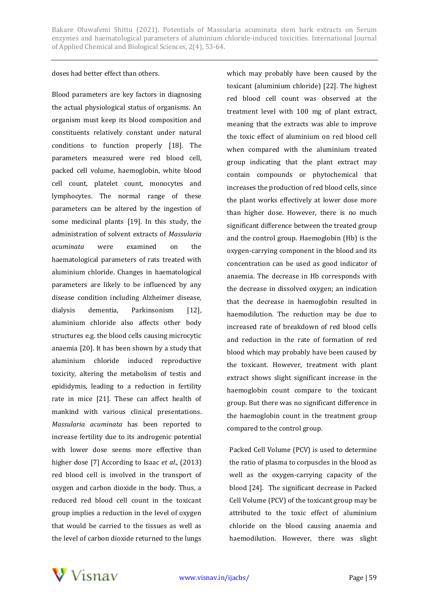#### doses had better effect than others.

Blood parameters are key factors in diagnosing the actual physiological status of organisms. An organism must keep its blood composition and constituents relatively constant under natural conditions to function properly [18]. The parameters measured were red blood cell, packed cell volume, haemoglobin, white blood cell count, platelet count, monocytes and lymphocytes. The normal range of these parameters can be altered by the ingestion of some medicinal plants [19]. In this study, the administration of solvent extracts of *Massularia acuminata* were examined on the haematological parameters of rats treated with aluminium chloride. Changes in haematological parameters are likely to be influenced by any disease condition including Alzheimer disease, dialysis dementia, Parkinsonism [12], aluminium chloride also affects other body structures e.g. the blood cells causing microcytic anaemia [20]. It has been shown by a study that aluminium chloride induced reproductive toxicity, altering the metabolism of testis and epididymis, leading to a reduction in fertility rate in mice [21]. These can affect health of mankind with various clinical presentations. *Massularia acuminata* has been reported to increase fertility due to its androgenic potential with lower dose seems more effective than higher dose [7] According to Isaac *et al*., (2013) red blood cell is involved in the transport of oxygen and carbon dioxide in the body. Thus, a reduced red blood cell count in the toxicant group implies a reduction in the level of oxygen that would be carried to the tissues as well as the level of carbon dioxide returned to the lungs

which may probably have been caused by the toxicant (aluminium chloride) [22]. The highest red blood cell count was observed at the treatment level with 100 mg of plant extract, meaning that the extracts was able to improve the toxic effect of aluminium on red blood cell when compared with the aluminium treated group indicating that the plant extract may contain compounds or phytochemical that increases the production of red blood cells, since the plant works effectively at lower dose more than higher dose. However, there is no much significant difference between the treated group and the control group. Haemoglobin (Hb) is the oxygen-carrying component in the blood and its concentration can be used as good indicator of anaemia. The decrease in Hb corresponds with the decrease in dissolved oxygen; an indication that the decrease in haemoglobin resulted in haemodilution. The reduction may be due to increased rate of breakdown of red blood cells and reduction in the rate of formation of red blood which may probably have been caused by the toxicant. However, treatment with plant extract shows slight significant increase in the haemoglobin count compare to the toxicant group. But there was no significant difference in the haemoglobin count in the treatment group compared to the control group.

Packed Cell Volume (PCV) is used to determine the ratio of plasma to corpuscles in the blood as well as the oxygen-carrying capacity of the blood [24]. The significant decrease in Packed Cell Volume (PCV) of the toxicant group may be attributed to the toxic effect of aluminium chloride on the blood causing anaemia and haemodilution. However, there was slight

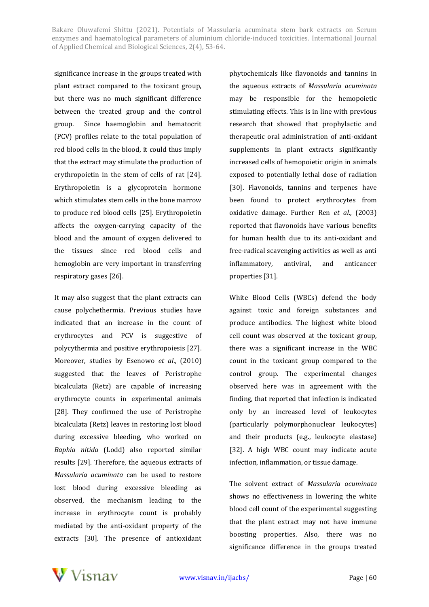significance increase in the groups treated with plant extract compared to the toxicant group, but there was no much significant difference between the treated group and the control group. Since haemoglobin and hematocrit (PCV) profiles relate to the total population of red blood cells in the blood, it could thus imply that the extract may stimulate the production of erythropoietin in the stem of cells of rat [24]. Erythropoietin is a glycoprotein hormone which stimulates stem cells in the bone marrow to produce red blood cells [25]. Erythropoietin affects the oxygen-carrying capacity of the blood and the amount of oxygen delivered to the tissues since red blood cells and hemoglobin are very important in transferring respiratory gases [26].

It may also suggest that the plant extracts can cause polychethermia. Previous studies have indicated that an increase in the count of erythrocytes and PCV is suggestive of polycythermia and positive erythropoiesis [27]. Moreover, studies by Esenowo *et al*., (2010) suggested that the leaves of Peristrophe bicalculata (Retz) are capable of increasing erythrocyte counts in experimental animals [28]. They confirmed the use of Peristrophe bicalculata (Retz) leaves in restoring lost blood during excessive bleeding, who worked on *Baphia nitida* (Lodd) also reported similar results [29]. Therefore, the aqueous extracts of *Massularia acuminata* can be used to restore lost blood during excessive bleeding as observed, the mechanism leading to the increase in erythrocyte count is probably mediated by the anti-oxidant property of the extracts [30]. The presence of antioxidant phytochemicals like flavonoids and tannins in the aqueous extracts of *Massularia acuminata* may be responsible for the hemopoietic stimulating effects. This is in line with previous research that showed that prophylactic and therapeutic oral administration of anti-oxidant supplements in plant extracts significantly increased cells of hemopoietic origin in animals exposed to potentially lethal dose of radiation [30]. Flavonoids, tannins and terpenes have been found to protect erythrocytes from oxidative damage. Further Ren *et al*., (2003) reported that flavonoids have various benefits for human health due to its anti-oxidant and free-radical scavenging activities as well as anti inflammatory, antiviral, and anticancer properties [31].

White Blood Cells (WBCs) defend the body against toxic and foreign substances and produce antibodies. The highest white blood cell count was observed at the toxicant group, there was a significant increase in the WBC count in the toxicant group compared to the control group. The experimental changes observed here was in agreement with the finding, that reported that infection is indicated only by an increased level of leukocytes (particularly polymorphonuclear leukocytes) and their products (e.g., leukocyte elastase) [32]. A high WBC count may indicate acute infection, inflammation, or tissue damage.

The solvent extract of *Massularia acuminata* shows no effectiveness in lowering the white blood cell count of the experimental suggesting that the plant extract may not have immune boosting properties. Also, there was no significance difference in the groups treated

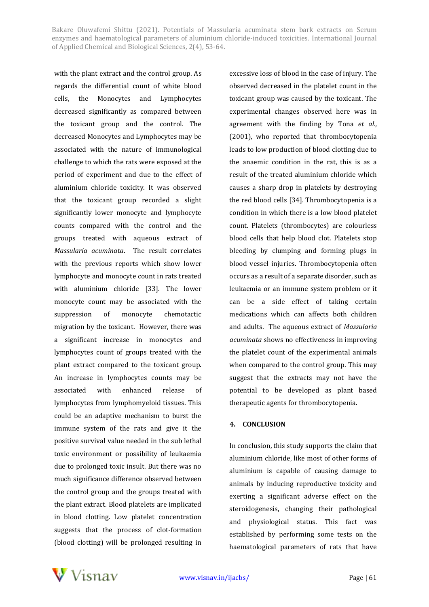with the plant extract and the control group. As regards the differential count of white blood cells, the Monocytes and Lymphocytes decreased significantly as compared between the toxicant group and the control. The decreased Monocytes and Lymphocytes may be associated with the nature of immunological challenge to which the rats were exposed at the period of experiment and due to the effect of aluminium chloride toxicity. It was observed that the toxicant group recorded a slight significantly lower monocyte and lymphocyte counts compared with the control and the groups treated with aqueous extract of *Massularia acuminata*. The result correlates with the previous reports which show lower lymphocyte and monocyte count in rats treated with aluminium chloride [33]. The lower monocyte count may be associated with the suppression of monocyte chemotactic migration by the toxicant. However, there was a significant increase in monocytes and lymphocytes count of groups treated with the plant extract compared to the toxicant group. An increase in lymphocytes counts may be associated with enhanced release of lymphocytes from lymphomyeloid tissues. This could be an adaptive mechanism to burst the immune system of the rats and give it the positive survival value needed in the sub lethal toxic environment or possibility of leukaemia due to prolonged toxic insult. But there was no much significance difference observed between the control group and the groups treated with the plant extract. Blood platelets are implicated in blood clotting. Low platelet concentration suggests that the process of clot-formation (blood clotting) will be prolonged resulting in

excessive loss of blood in the case of injury. The observed decreased in the platelet count in the toxicant group was caused by the toxicant. The experimental changes observed here was in agreement with the finding by Tona *et al.,* (2001), who reported that thrombocytopenia leads to low production of blood clotting due to the anaemic condition in the rat, this is as a result of the treated aluminium chloride which causes a sharp drop in platelets by destroying the red blood cells [34]. Thrombocytopenia is a condition in which there is a low blood platelet count. Platelets (thrombocytes) are colourless blood cells that help blood clot. Platelets stop bleeding by clumping and forming plugs in blood vessel injuries. Thrombocytopenia often occurs as a result of a separate disorder, such as leukaemia or an immune system problem or it can be a side effect of taking certain medications which can affects both children and adults. The aqueous extract of *Massularia acuminata* shows no effectiveness in improving the platelet count of the experimental animals when compared to the control group. This may suggest that the extracts may not have the potential to be developed as plant based therapeutic agents for thrombocytopenia.

#### **4. CONCLUSION**

In conclusion, this study supports the claim that aluminium chloride, like most of other forms of aluminium is capable of causing damage to animals by inducing reproductive toxicity and exerting a significant adverse effect on the steroidogenesis, changing their pathological and physiological status. This fact was established by performing some tests on the haematological parameters of rats that have

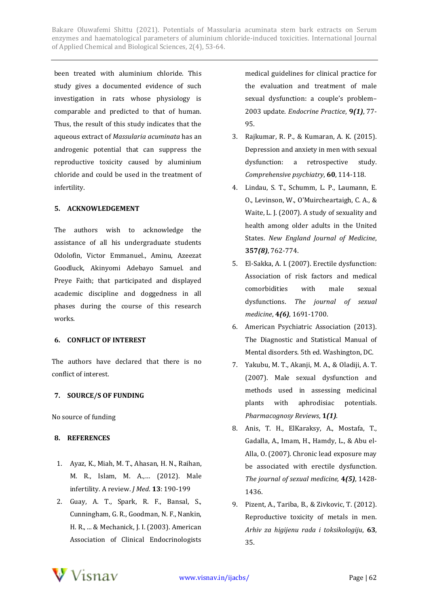been treated with aluminium chloride. This study gives a documented evidence of such investigation in rats whose physiology is comparable and predicted to that of human. Thus, the result of this study indicates that the aqueous extract of *Massularia acuminata* has an androgenic potential that can suppress the reproductive toxicity caused by aluminium chloride and could be used in the treatment of infertility.

## **5. ACKNOWLEDGEMENT**

The authors wish to acknowledge the assistance of all his undergraduate students Odolofin, Victor Emmanuel., Aminu, Azeezat Goodluck, Akinyomi Adebayo Samuel. and Preye Faith; that participated and displayed academic discipline and doggedness in all phases during the course of this research works.

## **6. CONFLICT OF INTEREST**

The authors have declared that there is no conflict of interest.

## **7. SOURCE/S OF FUNDING**

No source of funding

## **8. REFERENCES**

- 1. Ayaz, K., Miah, M. T., Ahasan, H. N., Raihan, M. R., Islam, M. A.,… (2012). Male infertility. A review. *J Med*. **13**: 190-199
- 2. Guay, A. T., Spark, R. F., Bansal, S., Cunningham, G. R., Goodman, N. F., Nankin, H. R., ... & Mechanick, J. I. (2003). American Association of Clinical Endocrinologists

medical guidelines for clinical practice for the evaluation and treatment of male sexual dysfunction: a couple's problem– 2003 update. *Endocrine Practice*, **9***(1)*, 77- 95.

- 3. Rajkumar, R. P., & Kumaran, A. K. (2015). Depression and anxiety in men with sexual dysfunction: a retrospective study. *Comprehensive psychiatry*, **60**, 114-118.
- 4. Lindau, S. T., Schumm, L. P., Laumann, E. O., Levinson, W., O'Muircheartaigh, C. A., & Waite, L. J. (2007). A study of sexuality and health among older adults in the United States. *New England Journal of Medicine*, **357***(8)*, 762-774.
- 5. El-Sakka, A. I. (2007). Erectile dysfunction: Association of risk factors and medical comorbidities with male sexual dysfunctions. *The journal of sexual medicine*, **4***(6)*, 1691-1700.
- 6. American Psychiatric Association (2013). The Diagnostic and Statistical Manual of Mental disorders. 5th ed. Washington, DC.
- 7. Yakubu, M. T., Akanji, M. A., & Oladiji, A. T. (2007). Male sexual dysfunction and methods used in assessing medicinal plants with aphrodisiac potentials. *Pharmacognosy Reviews*, **1***(1)*.
- 8. Anis, T. H., ElKaraksy, A., Mostafa, T., Gadalla, A., Imam, H., Hamdy, L., & Abu el‐ Alla, O. (2007). Chronic lead exposure may be associated with erectile dysfunction. *The journal of sexual medicine,* **4***(5)*, 1428- 1436.
- 9. Pizent, A., Tariba, B., & Zivkovic, T. (2012). Reproductive toxicity of metals in men. *Arhiv za higijenu rada i toksikologiju*, **63**, 35.

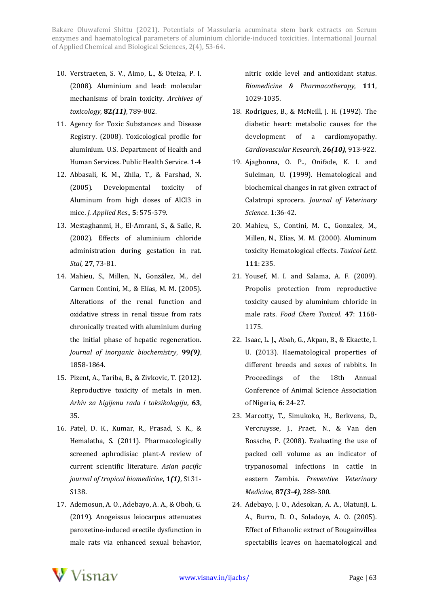- 10. Verstraeten, S. V., Aimo, L., & Oteiza, P. I. (2008). Aluminium and lead: molecular mechanisms of brain toxicity. *Archives of toxicology*, **82***(11)*, 789-802.
- 11. Agency for Toxic Substances and Disease Registry. (2008). Toxicological profile for aluminium. U.S. Department of Health and Human Services. Public Health Service. 1-4
- 12. Abbasali, K. M., Zhila, T., & Farshad, N. (2005). Developmental toxicity of Aluminum from high doses of AlCl3 in mice. *J. Applied Res*., **5**: 575-579.
- 13. Mestaghanmi, H., El-Amrani, S., & Saile, R. (2002). Effects of aluminium chloride administration during gestation in rat. *Stal*, **27**, 73-81.
- 14. Mahieu, S., Millen, N., González, M., del Carmen Contini, M., & Elías, M. M. (2005). Alterations of the renal function and oxidative stress in renal tissue from rats chronically treated with aluminium during the initial phase of hepatic regeneration. *Journal of inorganic biochemistry*, **99***(9)*, 1858-1864.
- 15. Pizent, A., Tariba, B., & Zivkovic, T. (2012). Reproductive toxicity of metals in men. *Arhiv za higijenu rada i toksikologiju*, **63**, 35.
- 16. Patel, D. K., Kumar, R., Prasad, S. K., & Hemalatha, S. (2011). Pharmacologically screened aphrodisiac plant-A review of current scientific literature. *Asian pacific journal of tropical biomedicine*, **1***(1)*, S131- S138.
- 17. Ademosun, A. O., Adebayo, A. A., & Oboh, G. (2019). Anogeissus leiocarpus attenuates paroxetine-induced erectile dysfunction in male rats via enhanced sexual behavior,

nitric oxide level and antioxidant status. *Biomedicine & Pharmacotherapy*, **111**, 1029-1035.

- 18. Rodrigues, B., & McNeill, J. H. (1992). The diabetic heart: metabolic causes for the development of a cardiomyopathy. *Cardiovascular Research*, **26***(10)*, 913-922.
- 19. Ajagbonna, O. P.., Onifade, K. I. and Suleiman, U. (1999). Hematological and biochemical changes in rat given extract of Calatropi sprocera. *Journal of Veterinary Science*. **1**:36-42.
- 20. Mahieu, S., Contini, M. C., Gonzalez, M., Millen, N., Elias, M. M. (2000). Aluminum toxicity Hematological effects. *Toxicol Lett*. **111**: 235.
- 21. Yousef, M. I. and Salama, A. F. (2009). Propolis protection from reproductive toxicity caused by aluminium chloride in male rats. *Food Chem Toxicol*. **47**: 1168- 1175.
- 22. Isaac, L. J., Abah, G., Akpan, B., & Ekaette, I. U. (2013). Haematological properties of different breeds and sexes of rabbits. In Proceedings of the 18th Annual Conference of Animal Science Association of Nigeria, **6**: 24-27.
- 23. Marcotty, T., Simukoko, H., Berkvens, D., Vercruysse, J., Praet, N., & Van den Bossche, P. (2008). Evaluating the use of packed cell volume as an indicator of trypanosomal infections in cattle in eastern Zambia. *Preventive Veterinary Medicine*, **87***(3-4)*, 288-300.
- 24. Adebayo, J. O., Adesokan, A. A., Olatunji, L. A., Burro, D. O., Soladoye, A. O. (2005). Effect of Ethanolic extract of Bougainvillea spectabilis leaves on haematological and